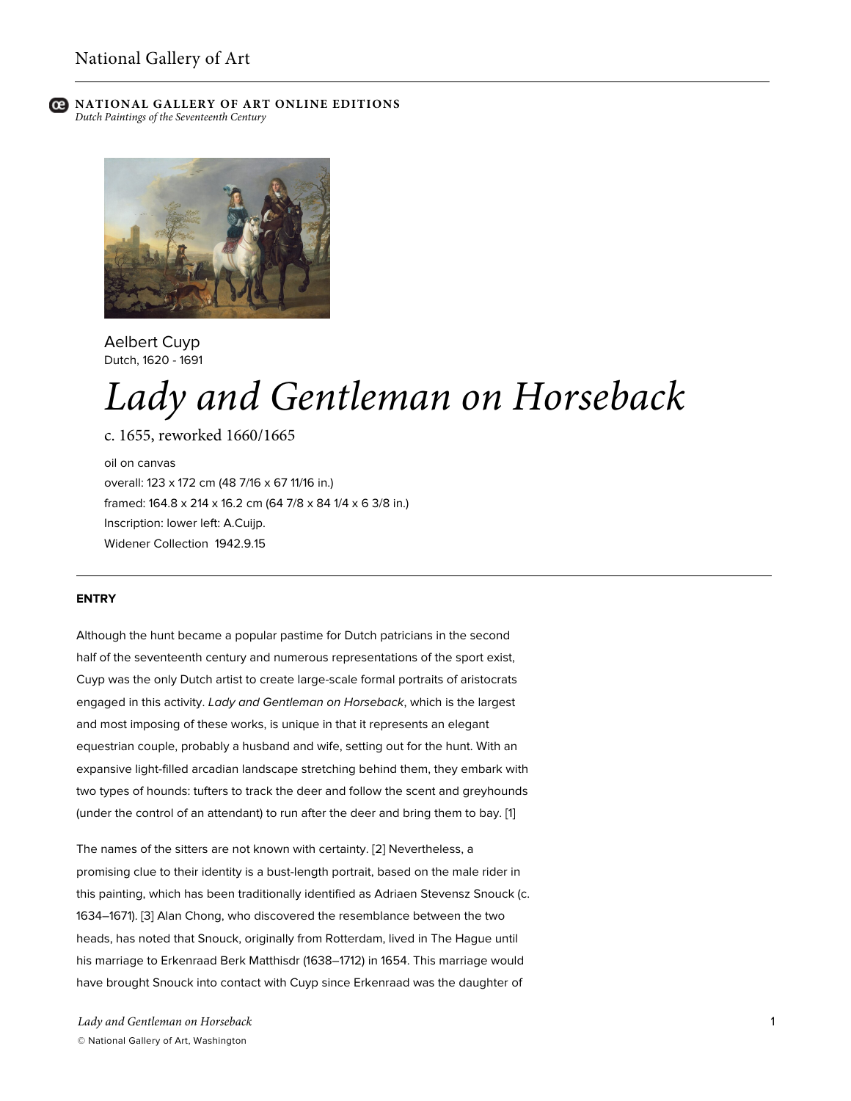



Aelbert Cuyp Dutch, 1620 - 1691

# *Lady and Gentleman on Horseback*

c. 1655, reworked 1660/1665

oil on canvas overall: 123 x 172 cm (48 7/16 x 67 11/16 in.) framed: 164.8 x 214 x 16.2 cm (64 7/8 x 84 1/4 x 6 3/8 in.) Inscription: lower left: A.Cuijp. Widener Collection 1942.9.15

## **ENTRY**

Although the hunt became a popular pastime for Dutch patricians in the second half of the seventeenth century and numerous representations of the sport exist, Cuyp was the only Dutch artist to create large-scale formal portraits of aristocrats engaged in this activity. *Lady and Gentleman on Horseback*, which is the largest and most imposing of these works, is unique in that it represents an elegant equestrian couple, probably a husband and wife, setting out for the hunt. With an expansive light-filled arcadian landscape stretching behind them, they embark with two types of hounds: tufters to track the deer and follow the scent and greyhounds (under the control of an attendant) to run after the deer and bring them to bay. [1]

The names of the sitters are not known with certainty. [2] Nevertheless, a promising clue to their identity is a bust-length portrait, based on the male rider in this painting, which has been traditionally identified as Adriaen Stevensz Snouck (c. 1634–1671). [3] Alan Chong, who discovered the resemblance between the two heads, has noted that Snouck, originally from Rotterdam, lived in The Hague until his marriage to Erkenraad Berk Matthisdr (1638–1712) in 1654. This marriage would have brought Snouck into contact with Cuyp since Erkenraad was the daughter of

*Lady and Gentleman on Horseback* © National Gallery of Art, Washington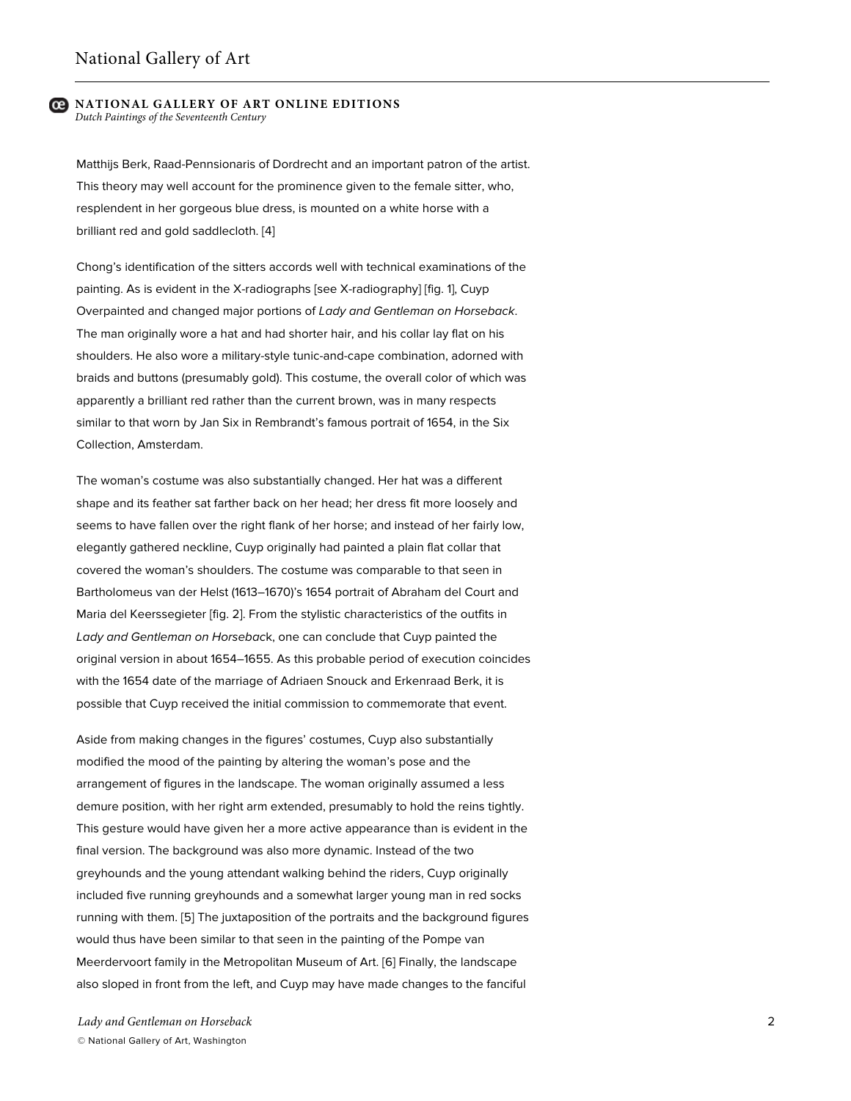Matthijs Berk, Raad-Pennsionaris of Dordrecht and an important patron of the artist. This theory may well account for the prominence given to the female sitter, who, resplendent in her gorgeous blue dress, is mounted on a white horse with a brilliant red and gold saddlecloth. [4]

Chong's identification of the sitters accords well with technical examinations of the painting. As is evident in the X-radiographs [see X-radiography] [fig. 1], Cuyp Overpainted and changed major portions of *Lady and Gentleman on Horseback*. The man originally wore a hat and had shorter hair, and his collar lay flat on his shoulders. He also wore a military-style tunic-and-cape combination, adorned with braids and buttons (presumably gold). This costume, the overall color of which was apparently a brilliant red rather than the current brown, was in many respects similar to that worn by Jan Six in Rembrandt's famous portrait of 1654, in the Six Collection, Amsterdam.

The woman's costume was also substantially changed. Her hat was a different shape and its feather sat farther back on her head; her dress fit more loosely and seems to have fallen over the right flank of her horse; and instead of her fairly low, elegantly gathered neckline, Cuyp originally had painted a plain flat collar that covered the woman's shoulders. The costume was comparable to that seen in Bartholomeus van der Helst (1613–1670)'s 1654 portrait of Abraham del Court and Maria del Keerssegieter [fig. 2]. From the stylistic characteristics of the outfits in *Lady and Gentleman on Horsebac*k, one can conclude that Cuyp painted the original version in about 1654–1655. As this probable period of execution coincides with the 1654 date of the marriage of Adriaen Snouck and Erkenraad Berk, it is possible that Cuyp received the initial commission to commemorate that event.

Aside from making changes in the figures' costumes, Cuyp also substantially modified the mood of the painting by altering the woman's pose and the arrangement of figures in the landscape. The woman originally assumed a less demure position, with her right arm extended, presumably to hold the reins tightly. This gesture would have given her a more active appearance than is evident in the final version. The background was also more dynamic. Instead of the two greyhounds and the young attendant walking behind the riders, Cuyp originally included five running greyhounds and a somewhat larger young man in red socks running with them. [5] The juxtaposition of the portraits and the background figures would thus have been similar to that seen in the painting of the Pompe van Meerdervoort family in the Metropolitan Museum of Art. [6] Finally, the landscape also sloped in front from the left, and Cuyp may have made changes to the fanciful

*Lady and Gentleman on Horseback* © National Gallery of Art, Washington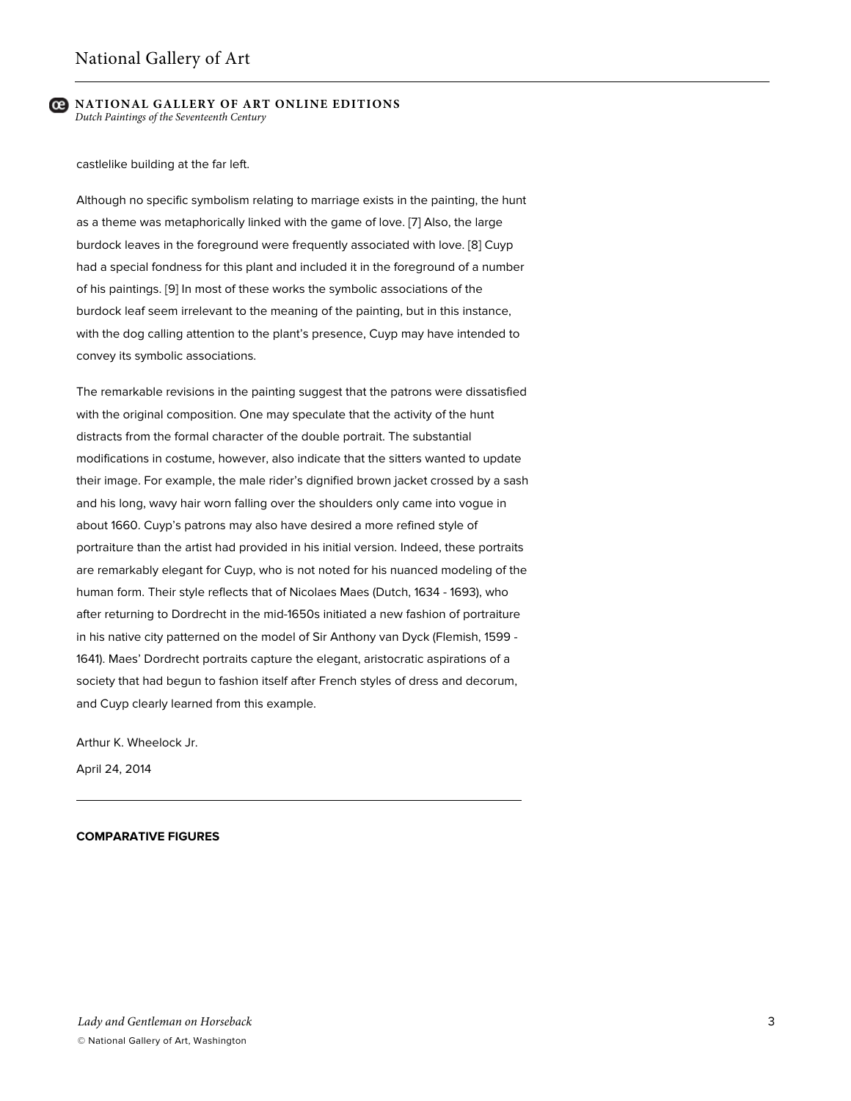castlelike building at the far left.

Although no specific symbolism relating to marriage exists in the painting, the hunt as a theme was metaphorically linked with the game of love. [7] Also, the large burdock leaves in the foreground were frequently associated with love. [8] Cuyp had a special fondness for this plant and included it in the foreground of a number of his paintings. [9] In most of these works the symbolic associations of the burdock leaf seem irrelevant to the meaning of the painting, but in this instance, with the dog calling attention to the plant's presence, Cuyp may have intended to convey its symbolic associations.

The remarkable revisions in the painting suggest that the patrons were dissatisfied with the original composition. One may speculate that the activity of the hunt distracts from the formal character of the double portrait. The substantial modifications in costume, however, also indicate that the sitters wanted to update their image. For example, the male rider's dignified brown jacket crossed by a sash and his long, wavy hair worn falling over the shoulders only came into vogue in about 1660. Cuyp's patrons may also have desired a more refined style of portraiture than the artist had provided in his initial version. Indeed, these portraits are remarkably elegant for Cuyp, who is not noted for his nuanced modeling of the human form. Their style reflects that of Nicolaes Maes (Dutch, 1634 - 1693), who after returning to Dordrecht in the mid-1650s initiated a new fashion of portraiture in his native city patterned on the model of Sir Anthony van Dyck (Flemish, 1599 - 1641). Maes' Dordrecht portraits capture the elegant, aristocratic aspirations of a society that had begun to fashion itself after French styles of dress and decorum, and Cuyp clearly learned from this example.

Arthur K. Wheelock Jr.

April 24, 2014

#### **COMPARATIVE FIGURES**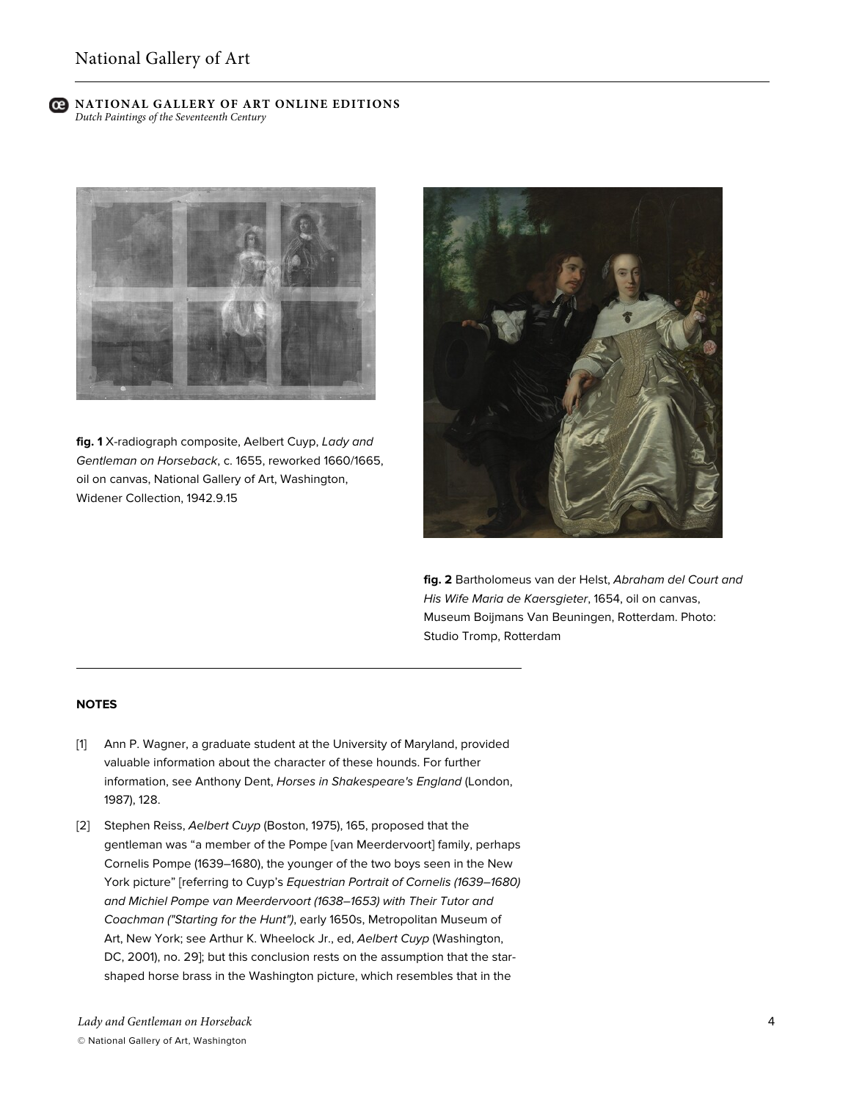

**fig. 1** X-radiograph composite, Aelbert Cuyp, *Lady and Gentleman on Horseback*, c. 1655, reworked 1660/1665, oil on canvas, National Gallery of Art, Washington, Widener Collection, 1942.9.15



**fig. 2** Bartholomeus van der Helst, *Abraham del Court and His Wife Maria de Kaersgieter*, 1654, oil on canvas, Museum Boijmans Van Beuningen, Rotterdam. Photo: Studio Tromp, Rotterdam

## **NOTES**

- [1] Ann P. Wagner, a graduate student at the University of Maryland, provided valuable information about the character of these hounds. For further information, see Anthony Dent, *Horses in Shakespeare's England* (London, 1987), 128.
- [2] Stephen Reiss, *Aelbert Cuyp* (Boston, 1975), 165, proposed that the gentleman was "a member of the Pompe [van Meerdervoort] family, perhaps Cornelis Pompe (1639–1680), the younger of the two boys seen in the New York picture" [referring to Cuyp's *Equestrian Portrait of Cornelis (1639–1680) and Michiel Pompe van Meerdervoort (1638–1653) with Their Tutor and Coachman ("Starting for the Hunt")*, early 1650s, Metropolitan Museum of Art, New York; see Arthur K. Wheelock Jr., ed, *Aelbert Cuyp* (Washington, DC, 2001), no. 29]; but this conclusion rests on the assumption that the starshaped horse brass in the Washington picture, which resembles that in the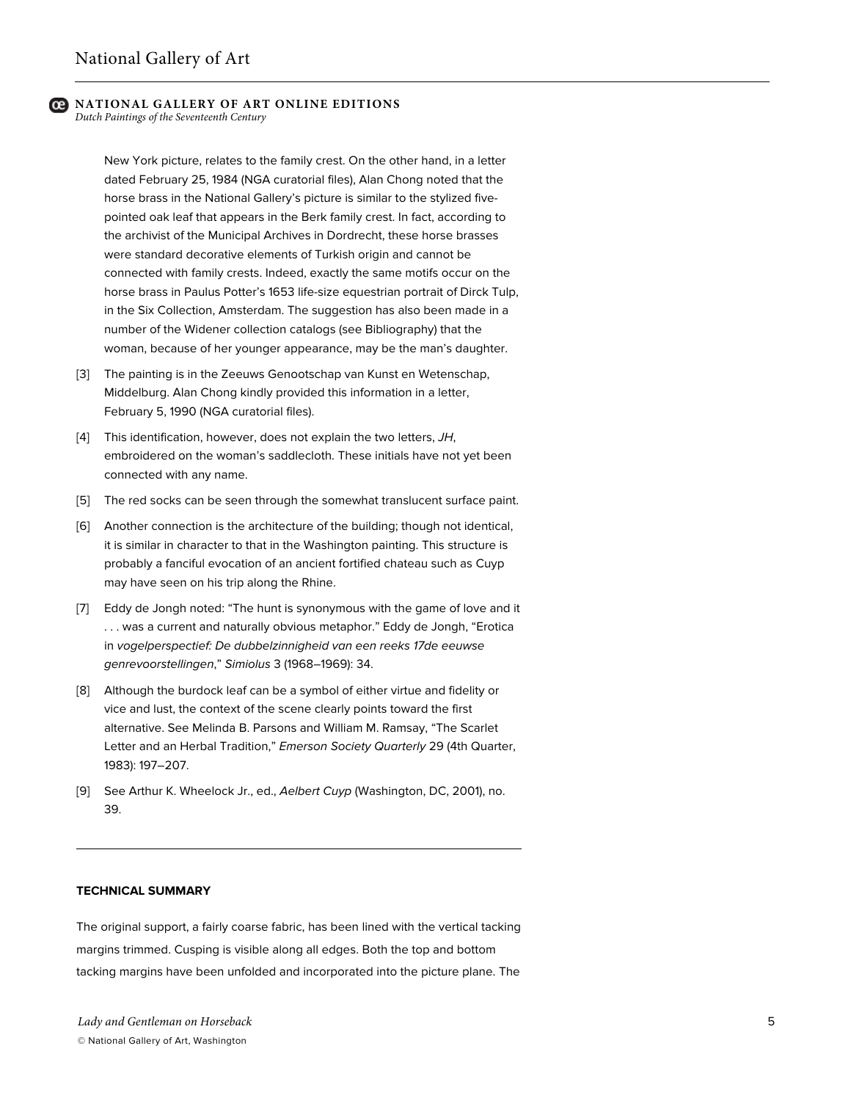# **NATIONAL GALLERY OF ART ONLINE EDITIONS**

*Dutch Paintings of the Seventeenth Century*

New York picture, relates to the family crest. On the other hand, in a letter dated February 25, 1984 (NGA curatorial files), Alan Chong noted that the horse brass in the National Gallery's picture is similar to the stylized fivepointed oak leaf that appears in the Berk family crest. In fact, according to the archivist of the Municipal Archives in Dordrecht, these horse brasses were standard decorative elements of Turkish origin and cannot be connected with family crests. Indeed, exactly the same motifs occur on the horse brass in Paulus Potter's 1653 life-size equestrian portrait of Dirck Tulp, in the Six Collection, Amsterdam. The suggestion has also been made in a number of the Widener collection catalogs (see Bibliography) that the woman, because of her younger appearance, may be the man's daughter.

- [3] The painting is in the Zeeuws Genootschap van Kunst en Wetenschap, Middelburg. Alan Chong kindly provided this information in a letter, February 5, 1990 (NGA curatorial files).
- [4] This identification, however, does not explain the two letters, *JH*, embroidered on the woman's saddlecloth. These initials have not yet been connected with any name.
- [5] The red socks can be seen through the somewhat translucent surface paint.
- [6] Another connection is the architecture of the building; though not identical, it is similar in character to that in the Washington painting. This structure is probably a fanciful evocation of an ancient fortified chateau such as Cuyp may have seen on his trip along the Rhine.
- [7] Eddy de Jongh noted: "The hunt is synonymous with the game of love and it . . . was a current and naturally obvious metaphor." Eddy de Jongh, "Erotica in *vogelperspectief: De dubbelzinnigheid van een reeks 17de eeuwse genrevoorstellingen*," *Simiolus* 3 (1968–1969): 34.
- [8] Although the burdock leaf can be a symbol of either virtue and fidelity or vice and lust, the context of the scene clearly points toward the first alternative. See Melinda B. Parsons and William M. Ramsay, "The Scarlet Letter and an Herbal Tradition," *Emerson Society Quarterly* 29 (4th Quarter, 1983): 197–207.
- [9] See Arthur K. Wheelock Jr., ed., *Aelbert Cuyp* (Washington, DC, 2001), no. 39.

#### **TECHNICAL SUMMARY**

The original support, a fairly coarse fabric, has been lined with the vertical tacking margins trimmed. Cusping is visible along all edges. Both the top and bottom tacking margins have been unfolded and incorporated into the picture plane. The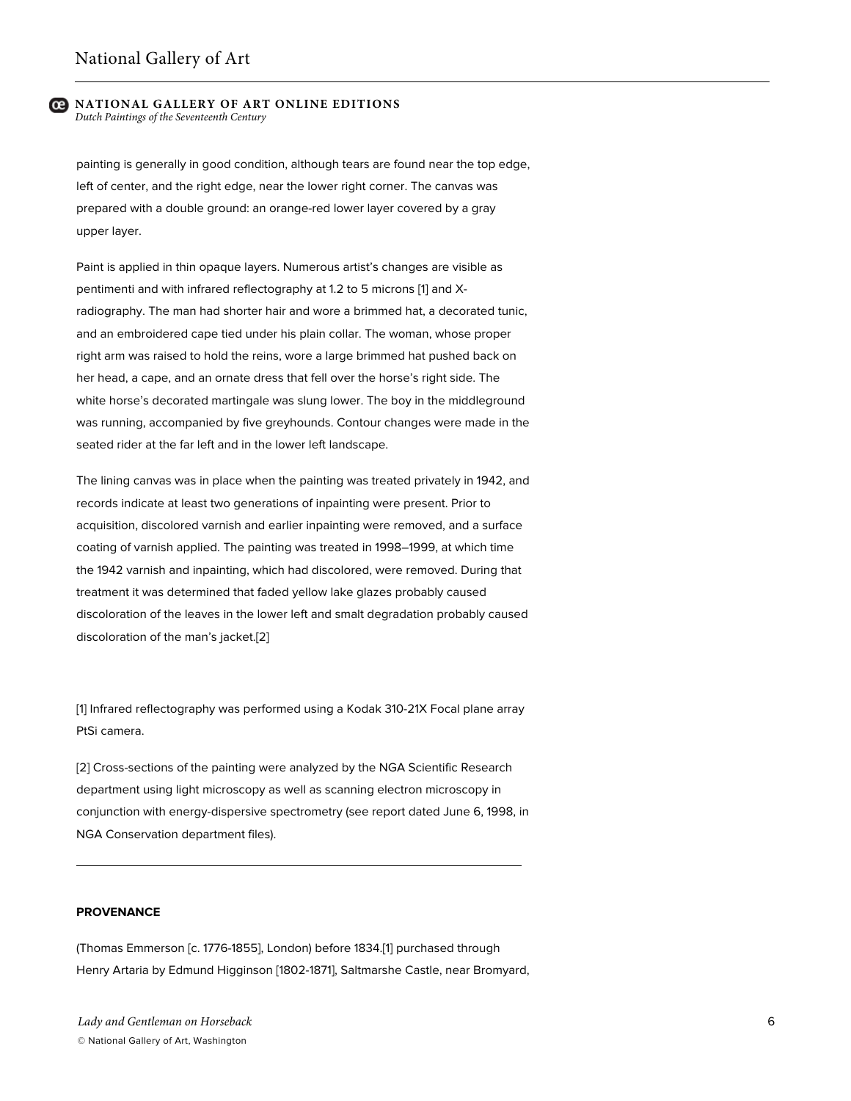painting is generally in good condition, although tears are found near the top edge, left of center, and the right edge, near the lower right corner. The canvas was prepared with a double ground: an orange-red lower layer covered by a gray upper layer.

Paint is applied in thin opaque layers. Numerous artist's changes are visible as pentimenti and with infrared reflectography at 1.2 to 5 microns [1] and Xradiography. The man had shorter hair and wore a brimmed hat, a decorated tunic, and an embroidered cape tied under his plain collar. The woman, whose proper right arm was raised to hold the reins, wore a large brimmed hat pushed back on her head, a cape, and an ornate dress that fell over the horse's right side. The white horse's decorated martingale was slung lower. The boy in the middleground was running, accompanied by five greyhounds. Contour changes were made in the seated rider at the far left and in the lower left landscape.

The lining canvas was in place when the painting was treated privately in 1942, and records indicate at least two generations of inpainting were present. Prior to acquisition, discolored varnish and earlier inpainting were removed, and a surface coating of varnish applied. The painting was treated in 1998–1999, at which time the 1942 varnish and inpainting, which had discolored, were removed. During that treatment it was determined that faded yellow lake glazes probably caused discoloration of the leaves in the lower left and smalt degradation probably caused discoloration of the man's jacket.[2]

[1] Infrared reflectography was performed using a Kodak 310-21X Focal plane array PtSi camera.

[2] Cross-sections of the painting were analyzed by the NGA Scientific Research department using light microscopy as well as scanning electron microscopy in conjunction with energy-dispersive spectrometry (see report dated June 6, 1998, in NGA Conservation department files).

## **PROVENANCE**

(Thomas Emmerson [c. 1776-1855], London) before 1834.[1] purchased through Henry Artaria by Edmund Higginson [1802-1871], Saltmarshe Castle, near Bromyard,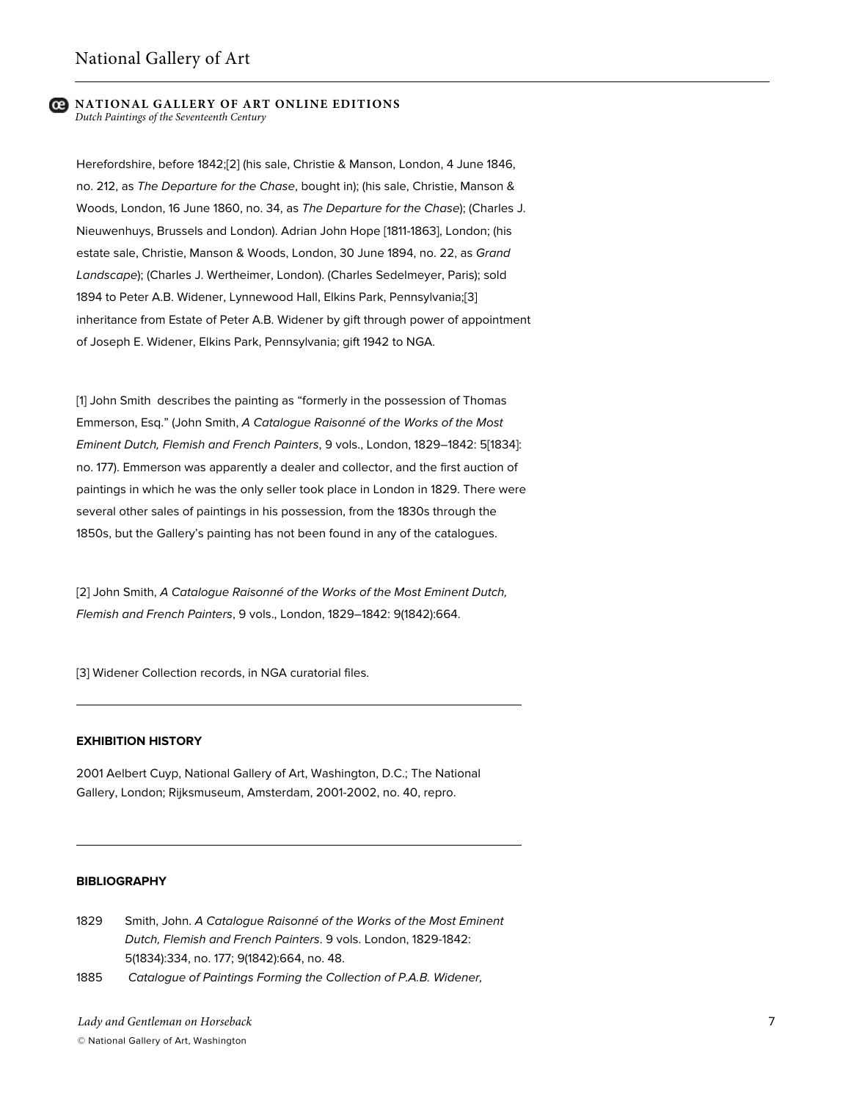Herefordshire, before 1842;[2] (his sale, Christie & Manson, London, 4 June 1846, no. 212, as *The Departure for the Chase*, bought in); (his sale, Christie, Manson & Woods, London, 16 June 1860, no. 34, as *The Departure for the Chase*); (Charles J. Nieuwenhuys, Brussels and London). Adrian John Hope [1811-1863], London; (his estate sale, Christie, Manson & Woods, London, 30 June 1894, no. 22, as *Grand Landscape*); (Charles J. Wertheimer, London). (Charles Sedelmeyer, Paris); sold 1894 to Peter A.B. Widener, Lynnewood Hall, Elkins Park, Pennsylvania;[3] inheritance from Estate of Peter A.B. Widener by gift through power of appointment of Joseph E. Widener, Elkins Park, Pennsylvania; gift 1942 to NGA.

[1] John Smith describes the painting as "formerly in the possession of Thomas Emmerson, Esq." (John Smith, *A Catalogue Raisonné of the Works of the Most Eminent Dutch, Flemish and French Painters*, 9 vols., London, 1829–1842: 5[1834]: no. 177). Emmerson was apparently a dealer and collector, and the first auction of paintings in which he was the only seller took place in London in 1829. There were several other sales of paintings in his possession, from the 1830s through the 1850s, but the Gallery's painting has not been found in any of the catalogues.

[2] John Smith, *A Catalogue Raisonné of the Works of the Most Eminent Dutch, Flemish and French Painters*, 9 vols., London, 1829–1842: 9(1842):664.

[3] Widener Collection records, in NGA curatorial files.

## **EXHIBITION HISTORY**

2001 Aelbert Cuyp, National Gallery of Art, Washington, D.C.; The National Gallery, London; Rijksmuseum, Amsterdam, 2001-2002, no. 40, repro.

## **BIBLIOGRAPHY**

- 1829 Smith, John. *A Catalogue Raisonné of the Works of the Most Eminent Dutch, Flemish and French Painters*. 9 vols. London, 1829-1842: 5(1834):334, no. 177; 9(1842):664, no. 48.
- 1885 *Catalogue of Paintings Forming the Collection of P.A.B. Widener,*

*Lady and Gentleman on Horseback* © National Gallery of Art, Washington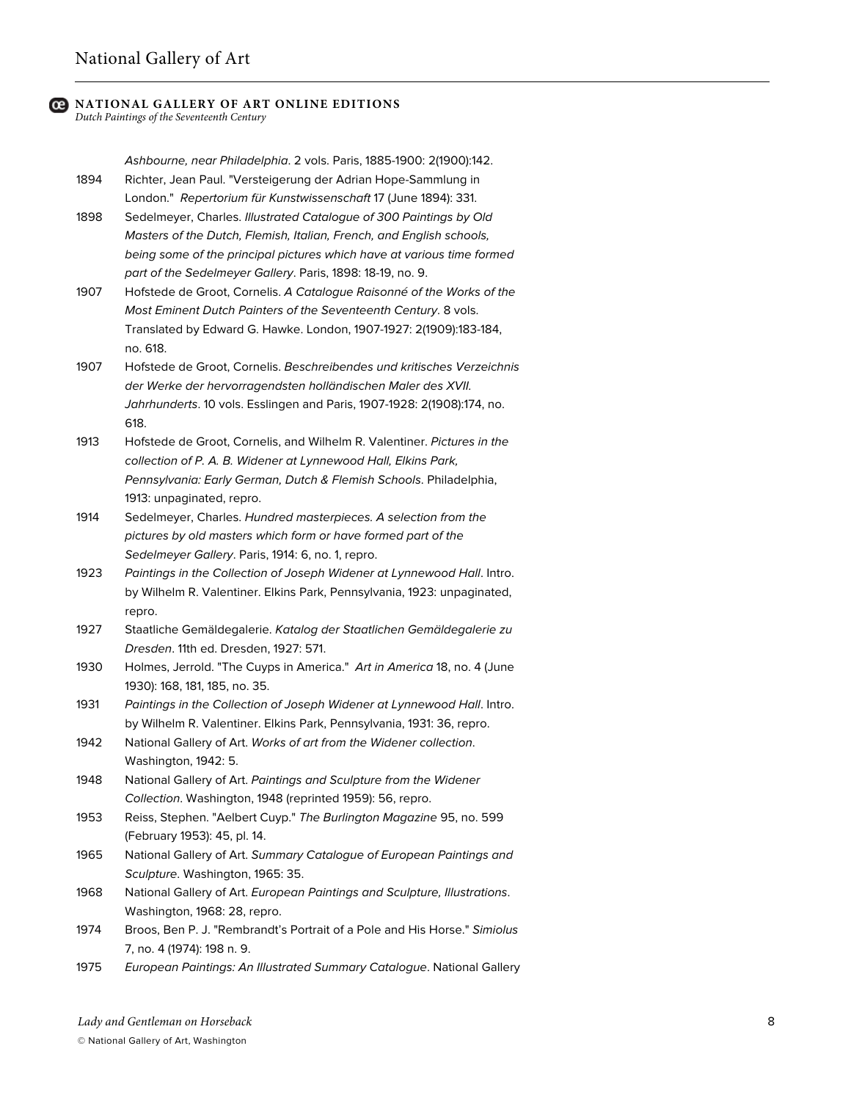# **NATIONAL GALLERY OF ART ONLINE EDITIONS**

*Dutch Paintings of the Seventeenth Century*

*Ashbourne, near Philadelphia*. 2 vols. Paris, 1885-1900: 2(1900):142. 1894 Richter, Jean Paul. "Versteigerung der Adrian Hope-Sammlung in London." *Repertorium für Kunstwissenschaft* 17 (June 1894): 331.

- 1898 Sedelmeyer, Charles. *Illustrated Catalogue of 300 Paintings by Old Masters of the Dutch, Flemish, Italian, French, and English schools, being some of the principal pictures which have at various time formed part of the Sedelmeyer Gallery*. Paris, 1898: 18-19, no. 9.
- 1907 Hofstede de Groot, Cornelis. *A Catalogue Raisonné of the Works of the Most Eminent Dutch Painters of the Seventeenth Century*. 8 vols. Translated by Edward G. Hawke. London, 1907-1927: 2(1909):183-184, no. 618.
- 1907 Hofstede de Groot, Cornelis. *Beschreibendes und kritisches Verzeichnis der Werke der hervorragendsten holländischen Maler des XVII. Jahrhunderts*. 10 vols. Esslingen and Paris, 1907-1928: 2(1908):174, no. 618.
- 1913 Hofstede de Groot, Cornelis, and Wilhelm R. Valentiner. *Pictures in the collection of P. A. B. Widener at Lynnewood Hall, Elkins Park, Pennsylvania: Early German, Dutch & Flemish Schools*. Philadelphia, 1913: unpaginated, repro.
- 1914 Sedelmeyer, Charles. *Hundred masterpieces. A selection from the pictures by old masters which form or have formed part of the Sedelmeyer Gallery*. Paris, 1914: 6, no. 1, repro.
- 1923 *Paintings in the Collection of Joseph Widener at Lynnewood Hall*. Intro. by Wilhelm R. Valentiner. Elkins Park, Pennsylvania, 1923: unpaginated, repro.
- 1927 Staatliche Gemäldegalerie. *Katalog der Staatlichen Gemäldegalerie zu Dresden*. 11th ed. Dresden, 1927: 571.
- 1930 Holmes, Jerrold. "The Cuyps in America." *Art in America* 18, no. 4 (June 1930): 168, 181, 185, no. 35.
- 1931 *Paintings in the Collection of Joseph Widener at Lynnewood Hall*. Intro. by Wilhelm R. Valentiner. Elkins Park, Pennsylvania, 1931: 36, repro.
- 1942 National Gallery of Art. *Works of art from the Widener collection*. Washington, 1942: 5.
- 1948 National Gallery of Art. *Paintings and Sculpture from the Widener Collection*. Washington, 1948 (reprinted 1959): 56, repro.
- 1953 Reiss, Stephen. "Aelbert Cuyp." *The Burlington Magazine* 95, no. 599 (February 1953): 45, pl. 14.
- 1965 National Gallery of Art. *Summary Catalogue of European Paintings and Sculpture*. Washington, 1965: 35.
- 1968 National Gallery of Art. *European Paintings and Sculpture, Illustrations*. Washington, 1968: 28, repro.
- 1974 Broos, Ben P. J. "Rembrandt's Portrait of a Pole and His Horse." *Simiolus* 7, no. 4 (1974): 198 n. 9.
- 1975 *European Paintings: An Illustrated Summary Catalogue*. National Gallery